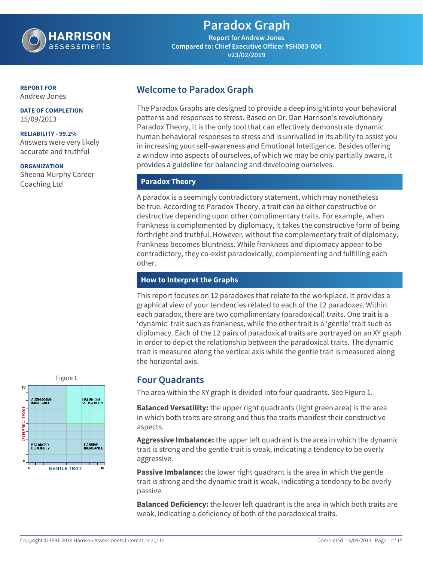

**Report for Andrew Jones Compared to: Chief Executive Officer #SH083-004 v23/02/2019**

#### **REPORT FOR**

Andrew Jones

**DATE OF COMPLETION** 15/09/2013

#### **RELIABILITY - 99.2%**

Answers were very likely accurate and truthful

#### **ORGANIZATION**

Sheena Murphy Career Coaching Ltd

### **Welcome to Paradox Graph**

The Paradox Graphs are designed to provide a deep insight into your behavioral patterns and responses to stress. Based on Dr. Dan Harrison's revolutionary Paradox Theory, it is the only tool that can effectively demonstrate dynamic human behavioral responses to stress and is unrivalled in its ability to assist you in increasing your self-awareness and Emotional Intelligence. Besides offering a window into aspects of ourselves, of which we may be only partially aware, it provides a guideline for balancing and developing ourselves.

#### **Paradox Theory**

A paradox is a seemingly contradictory statement, which may nonetheless be true. According to Paradox Theory, a trait can be either constructive or destructive depending upon other complimentary traits. For example, when frankness is complemented by diplomacy, it takes the constructive form of being forthright and truthful. However, without the complementary trait of diplomacy, frankness becomes bluntness. While frankness and diplomacy appear to be contradictory, they co-exist paradoxically, complementing and fulfilling each other.

#### **How to Interpret the Graphs**

This report focuses on 12 paradoxes that relate to the workplace. It provides a graphical view of your tendencies related to each of the 12 paradoxes. Within each paradox, there are two complimentary (paradoxical) traits. One trait is a 'dynamic' trait such as frankness, while the other trait is a 'gentle' trait such as diplomacy. Each of the 12 pairs of paradoxical traits are portrayed on an XY graph in order to depict the relationship between the paradoxical traits. The dynamic trait is measured along the vertical axis while the gentle trait is measured along the horizontal axis.

### Figure 1 **Four Quadrants**

The area within the XY graph is divided into four quadrants. See Figure 1.

**Balanced Versatility:** the upper right quadrants (light green area) is the area in which both traits are strong and thus the traits manifest their constructive aspects.

**Aggressive Imbalance:** the upper left quadrant is the area in which the dynamic trait is strong and the gentle trait is weak, indicating a tendency to be overly aggressive.

**Passive Imbalance:** the lower right quadrant is the area in which the gentle trait is strong and the dynamic trait is weak, indicating a tendency to be overly passive.

**Balanced Deficiency:** the lower left quadrant is the area in which both traits are weak, indicating a deficiency of both of the paradoxical traits.

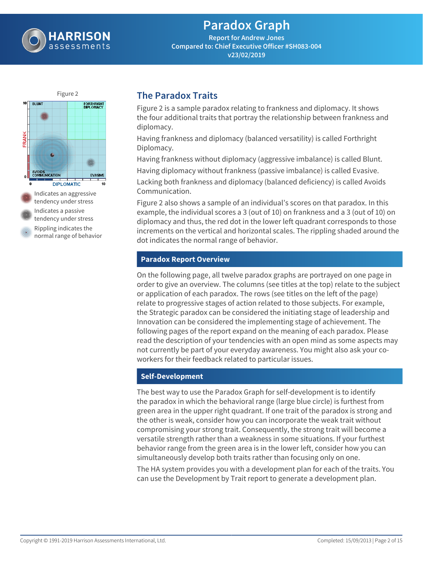

**Report for Andrew Jones Compared to: Chief Executive Officer #SH083-004 v23/02/2019**



### **The Paradox Traits**

Figure 2 is a sample paradox relating to frankness and diplomacy. It shows the four additional traits that portray the relationship between frankness and diplomacy.

Having frankness and diplomacy (balanced versatility) is called Forthright Diplomacy.

Having frankness without diplomacy (aggressive imbalance) is called Blunt.

Having diplomacy without frankness (passive imbalance) is called Evasive.

Lacking both frankness and diplomacy (balanced deficiency) is called Avoids Communication.

Figure 2 also shows a sample of an individual's scores on that paradox. In this example, the individual scores a 3 (out of 10) on frankness and a 3 (out of 10) on diplomacy and thus, the red dot in the lower left quadrant corresponds to those increments on the vertical and horizontal scales. The rippling shaded around the dot indicates the normal range of behavior.

#### **Paradox Report Overview**

On the following page, all twelve paradox graphs are portrayed on one page in order to give an overview. The columns (see titles at the top) relate to the subject or application of each paradox. The rows (see titles on the left of the page) relate to progressive stages of action related to those subjects. For example, the Strategic paradox can be considered the initiating stage of leadership and Innovation can be considered the implementing stage of achievement. The following pages of the report expand on the meaning of each paradox. Please read the description of your tendencies with an open mind as some aspects may not currently be part of your everyday awareness. You might also ask your coworkers for their feedback related to particular issues.

#### **Self-Development**

The best way to use the Paradox Graph for self-development is to identify the paradox in which the behavioral range (large blue circle) is furthest from green area in the upper right quadrant. If one trait of the paradox is strong and the other is weak, consider how you can incorporate the weak trait without compromising your strong trait. Consequently, the strong trait will become a versatile strength rather than a weakness in some situations. If your furthest behavior range from the green area is in the lower left, consider how you can simultaneously develop both traits rather than focusing only on one.

The HA system provides you with a development plan for each of the traits. You can use the Development by Trait report to generate a development plan.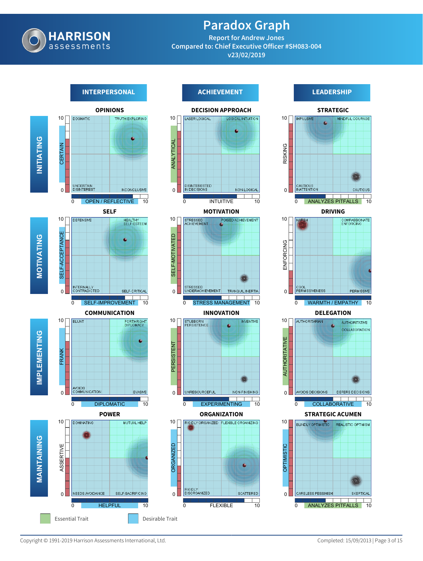

**Report for Andrew Jones Compared to: Chief Executive Officer #SH083-004 v23/02/2019**

### **OPINIONS DOGMATIC**  $10<sub>1</sub>$ **INITIATING** CERTAIN UNCERTAIN<br>DISINTEREST INCONCLUSIVE  $\Omega$ 0 OPEN / REFLECTIVE 10 **SELF**  $10$ **DEFENSIVE** HEALTHY<br>SELF-ESTEEM SELF-ACCEPTANCE SELF-ACCEPTANCE **MOTIVATING** INTERNALLY<br>CONTRADICTED  $\overline{0}$ SELF-CRITICAL 0 SELF-IMPROVEMENT 10 **COMMUNICATION**  $10<sup>7</sup>$ **PLUMT** FORTHRIGHT **IMPLEMENTING** FRANK AVOIDS<br>COMMUNICATION EVASIVE  $\overline{0}$ 0 DIPLOMATIC 10 **POWER**  $10$ **DOMINATING** MUTUAL HELP **MAINTAINING** ASSERTIVE  $\Omega$ NEEDS AVOIDANCE SELF-SACRIFICING 0 HELPFUL 10

#### **INTERPERSONAL ACHIEVEMENT LEADERSHIP**



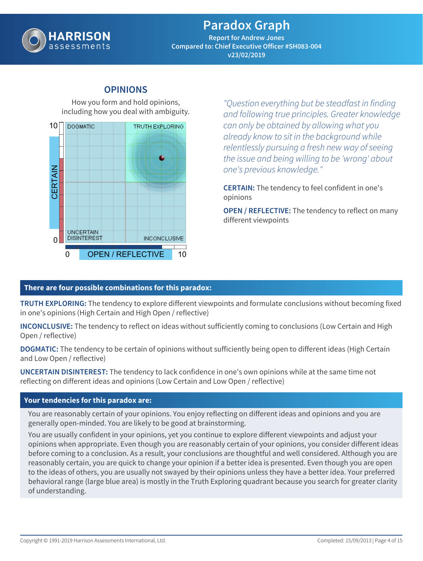

**Report for Andrew Jones Compared to: Chief Executive Officer #SH083-004 v23/02/2019**

### **OPINIONS**

How you form and hold opinions, including how you deal with ambiguity.



*"Question everything but be steadfast in finding and following true principles. Greater knowledge can only be obtained by allowing what you already know to sit in the background while relentlessly pursuing a fresh new way of seeing the issue and being willing to be 'wrong' about one's previous knowledge."*

**CERTAIN:** The tendency to feel confident in one's opinions

**OPEN / REFLECTIVE:** The tendency to reflect on many different viewpoints

### **There are four possible combinations for this paradox:**

**TRUTH EXPLORING:** The tendency to explore different viewpoints and formulate conclusions without becoming fixed in one's opinions (High Certain and High Open / reflective)

**INCONCLUSIVE:** The tendency to reflect on ideas without sufficiently coming to conclusions (Low Certain and High Open / reflective)

**DOGMATIC:** The tendency to be certain of opinions without sufficiently being open to different ideas (High Certain and Low Open / reflective)

**UNCERTAIN DISINTEREST:** The tendency to lack confidence in one's own opinions while at the same time not reflecting on different ideas and opinions (Low Certain and Low Open / reflective)

#### **Your tendencies for this paradox are:**

You are reasonably certain of your opinions. You enjoy reflecting on different ideas and opinions and you are generally open-minded. You are likely to be good at brainstorming.

You are usually confident in your opinions, yet you continue to explore different viewpoints and adjust your opinions when appropriate. Even though you are reasonably certain of your opinions, you consider different ideas before coming to a conclusion. As a result, your conclusions are thoughtful and well considered. Although you are reasonably certain, you are quick to change your opinion if a better idea is presented. Even though you are open to the ideas of others, you are usually not swayed by their opinions unless they have a better idea. Your preferred behavioral range (large blue area) is mostly in the Truth Exploring quadrant because you search for greater clarity of understanding.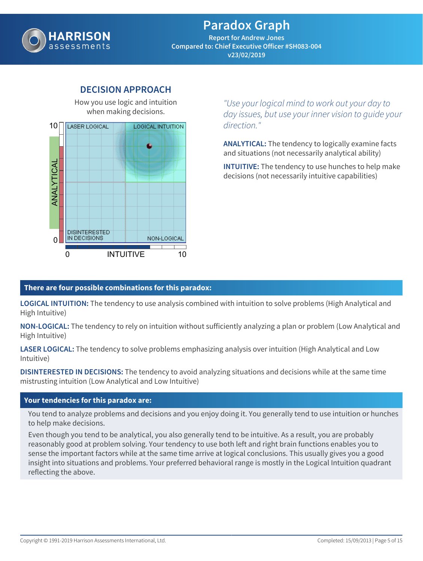

**Report for Andrew Jones Compared to: Chief Executive Officer #SH083-004 v23/02/2019**

# when making decisions. LASER LOGICAL 10**LOGICAL INTUITION** ANALYTICAL **DISINTERESTED** IN DECISIONS NON-LOGICAL  $\Omega$ 0 INTUITIVE 10

**DECISION APPROACH** How you use logic and intuition

*"Use your logical mind to work out your day to day issues, but use your inner vision to guide your direction."*

**ANALYTICAL:** The tendency to logically examine facts and situations (not necessarily analytical ability)

**INTUITIVE:** The tendency to use hunches to help make decisions (not necessarily intuitive capabilities)

#### **There are four possible combinations for this paradox:**

**LOGICAL INTUITION:** The tendency to use analysis combined with intuition to solve problems (High Analytical and High Intuitive)

**NON-LOGICAL:** The tendency to rely on intuition without sufficiently analyzing a plan or problem (Low Analytical and High Intuitive)

**LASER LOGICAL:** The tendency to solve problems emphasizing analysis over intuition (High Analytical and Low Intuitive)

**DISINTERESTED IN DECISIONS:** The tendency to avoid analyzing situations and decisions while at the same time mistrusting intuition (Low Analytical and Low Intuitive)

#### **Your tendencies for this paradox are:**

You tend to analyze problems and decisions and you enjoy doing it. You generally tend to use intuition or hunches to help make decisions.

Even though you tend to be analytical, you also generally tend to be intuitive. As a result, you are probably reasonably good at problem solving. Your tendency to use both left and right brain functions enables you to sense the important factors while at the same time arrive at logical conclusions. This usually gives you a good insight into situations and problems. Your preferred behavioral range is mostly in the Logical Intuition quadrant reflecting the above.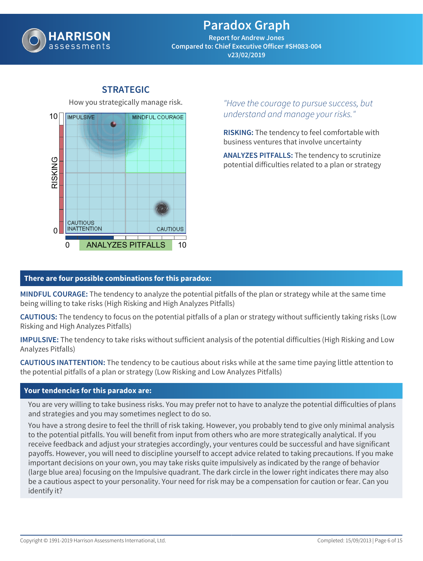

**Report for Andrew Jones Compared to: Chief Executive Officer #SH083-004 v23/02/2019**

# How you strategically manage risk. 10**IMPULSIVE** MINDFUL COURAGE **SKING CAUTIOUS INATTENTION** CAUTIOUS.  $\Omega$ 0 ANALYZES PITFALLS 10

# **STRATEGIC**

*"Have the courage to pursue success, but understand and manage your risks."*

**RISKING:** The tendency to feel comfortable with business ventures that involve uncertainty

**ANALYZES PITFALLS:** The tendency to scrutinize potential difficulties related to a plan or strategy

#### **There are four possible combinations for this paradox:**

**MINDFUL COURAGE:** The tendency to analyze the potential pitfalls of the plan or strategy while at the same time being willing to take risks (High Risking and High Analyzes Pitfalls)

**CAUTIOUS:** The tendency to focus on the potential pitfalls of a plan or strategy without sufficiently taking risks (Low Risking and High Analyzes Pitfalls)

**IMPULSIVE:** The tendency to take risks without sufficient analysis of the potential difficulties (High Risking and Low Analyzes Pitfalls)

**CAUTIOUS INATTENTION:** The tendency to be cautious about risks while at the same time paying little attention to the potential pitfalls of a plan or strategy (Low Risking and Low Analyzes Pitfalls)

#### **Your tendencies for this paradox are:**

You are very willing to take business risks. You may prefer not to have to analyze the potential difficulties of plans and strategies and you may sometimes neglect to do so.

You have a strong desire to feel the thrill of risk taking. However, you probably tend to give only minimal analysis to the potential pitfalls. You will benefit from input from others who are more strategically analytical. If you receive feedback and adjust your strategies accordingly, your ventures could be successful and have significant payoffs. However, you will need to discipline yourself to accept advice related to taking precautions. If you make important decisions on your own, you may take risks quite impulsively as indicated by the range of behavior (large blue area) focusing on the Impulsive quadrant. The dark circle in the lower right indicates there may also be a cautious aspect to your personality. Your need for risk may be a compensation for caution or fear. Can you identify it?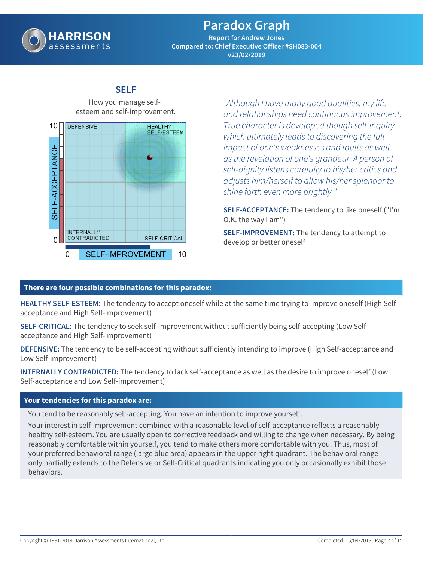

**Report for Andrew Jones Compared to: Chief Executive Officer #SH083-004 v23/02/2019**

#### **SELF** How you manage self-

esteem and self-improvement. 10**DEFENSIVE HEALTHY** SELF-ESTEEM SELF-ACCEPTANCE SELF-ACCEPTANCE **INTERNALLY** CONTRADICTED SELF-CRITICAL  $\Omega$ 0 SELF-IMPROVEMENT 10

*"Although I have many good qualities, my life and relationships need continuous improvement. True character is developed though self-inquiry which ultimately leads to discovering the full impact of one's weaknesses and faults as well as the revelation of one's grandeur. A person of self-dignity listens carefully to his/her critics and adjusts him/herself to allow his/her splendor to shine forth even more brightly."*

**SELF-ACCEPTANCE:** The tendency to like oneself ("I'm O.K. the way I am")

**SELF-IMPROVEMENT:** The tendency to attempt to develop or better oneself

#### **There are four possible combinations for this paradox:**

**HEALTHY SELF-ESTEEM:** The tendency to accept oneself while at the same time trying to improve oneself (High Selfacceptance and High Self-improvement)

**SELF-CRITICAL:** The tendency to seek self-improvement without sufficiently being self-accepting (Low Selfacceptance and High Self-improvement)

**DEFENSIVE:** The tendency to be self-accepting without sufficiently intending to improve (High Self-acceptance and Low Self-improvement)

**INTERNALLY CONTRADICTED:** The tendency to lack self-acceptance as well as the desire to improve oneself (Low Self-acceptance and Low Self-improvement)

#### **Your tendencies for this paradox are:**

You tend to be reasonably self-accepting. You have an intention to improve yourself.

Your interest in self-improvement combined with a reasonable level of self-acceptance reflects a reasonably healthy self-esteem. You are usually open to corrective feedback and willing to change when necessary. By being reasonably comfortable within yourself, you tend to make others more comfortable with you. Thus, most of your preferred behavioral range (large blue area) appears in the upper right quadrant. The behavioral range only partially extends to the Defensive or Self-Critical quadrants indicating you only occasionally exhibit those behaviors.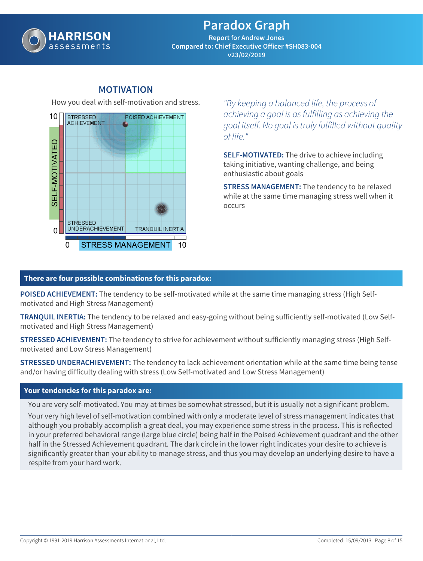

**Report for Andrew Jones Compared to: Chief Executive Officer #SH083-004 v23/02/2019**

### **MOTIVATION**

How you deal with self-motivation and stress.



*"By keeping a balanced life, the process of achieving a goal is as fulfilling as achieving the goal itself. No goal is truly fulfilled without quality of life."*

**SELF-MOTIVATED:** The drive to achieve including taking initiative, wanting challenge, and being enthusiastic about goals

**STRESS MANAGEMENT:** The tendency to be relaxed while at the same time managing stress well when it occurs

#### **There are four possible combinations for this paradox:**

**POISED ACHIEVEMENT:** The tendency to be self-motivated while at the same time managing stress (High Selfmotivated and High Stress Management)

**TRANQUIL INERTIA:** The tendency to be relaxed and easy-going without being sufficiently self-motivated (Low Selfmotivated and High Stress Management)

**STRESSED ACHIEVEMENT:** The tendency to strive for achievement without sufficiently managing stress (High Selfmotivated and Low Stress Management)

**STRESSED UNDERACHIEVEMENT:** The tendency to lack achievement orientation while at the same time being tense and/or having difficulty dealing with stress (Low Self-motivated and Low Stress Management)

#### **Your tendencies for this paradox are:**

You are very self-motivated. You may at times be somewhat stressed, but it is usually not a significant problem. Your very high level of self-motivation combined with only a moderate level of stress management indicates that although you probably accomplish a great deal, you may experience some stress in the process. This is reflected in your preferred behavioral range (large blue circle) being half in the Poised Achievement quadrant and the other half in the Stressed Achievement quadrant. The dark circle in the lower right indicates your desire to achieve is significantly greater than your ability to manage stress, and thus you may develop an underlying desire to have a respite from your hard work.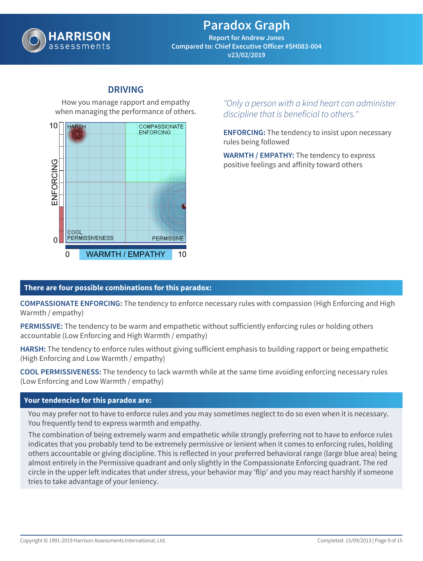

**Report for Andrew Jones Compared to: Chief Executive Officer #SH083-004 v23/02/2019**

### **DRIVING**

How you manage rapport and empathy when managing the performance of others.



### *"Only a person with a kind heart can administer discipline that is beneficial to others."*

**ENFORCING:** The tendency to insist upon necessary rules being followed

**WARMTH / EMPATHY:** The tendency to express positive feelings and affinity toward others

### **There are four possible combinations for this paradox:**

**COMPASSIONATE ENFORCING:** The tendency to enforce necessary rules with compassion (High Enforcing and High Warmth / empathy)

**PERMISSIVE:** The tendency to be warm and empathetic without sufficiently enforcing rules or holding others accountable (Low Enforcing and High Warmth / empathy)

**HARSH:** The tendency to enforce rules without giving sufficient emphasis to building rapport or being empathetic (High Enforcing and Low Warmth / empathy)

**COOL PERMISSIVENESS:** The tendency to lack warmth while at the same time avoiding enforcing necessary rules (Low Enforcing and Low Warmth / empathy)

#### **Your tendencies for this paradox are:**

You may prefer not to have to enforce rules and you may sometimes neglect to do so even when it is necessary. You frequently tend to express warmth and empathy.

The combination of being extremely warm and empathetic while strongly preferring not to have to enforce rules indicates that you probably tend to be extremely permissive or lenient when it comes to enforcing rules, holding others accountable or giving discipline. This is reflected in your preferred behavioral range (large blue area) being almost entirely in the Permissive quadrant and only slightly in the Compassionate Enforcing quadrant. The red circle in the upper left indicates that under stress, your behavior may 'flip' and you may react harshly if someone tries to take advantage of your leniency.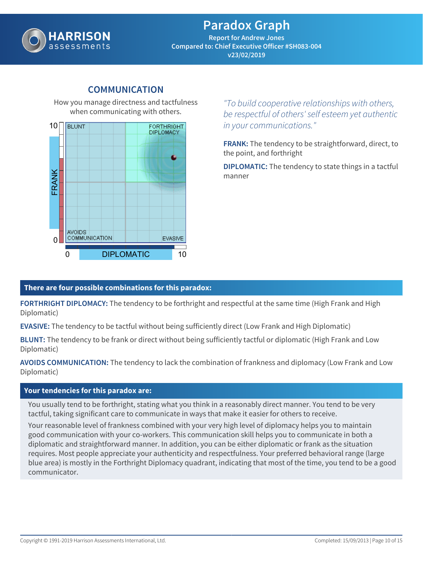

**Report for Andrew Jones Compared to: Chief Executive Officer #SH083-004 v23/02/2019**

# when communicating with others.  $10<sup>1</sup>$ **RI UNT FORTHRIGHT DIPLOMACY** FRANK AVOIDS **COMMUNICATION**  $\Omega$ EVASIVE 0 DIPLOMATIC 10

**COMMUNICATION**

How you manage directness and tactfulness

*"To build cooperative relationships with others, be respectful of others' self esteem yet authentic in your communications."*

**FRANK:** The tendency to be straightforward, direct, to the point, and forthright

**DIPLOMATIC:** The tendency to state things in a tactful manner

#### **There are four possible combinations for this paradox:**

**FORTHRIGHT DIPLOMACY:** The tendency to be forthright and respectful at the same time (High Frank and High Diplomatic)

**EVASIVE:** The tendency to be tactful without being sufficiently direct (Low Frank and High Diplomatic)

**BLUNT:** The tendency to be frank or direct without being sufficiently tactful or diplomatic (High Frank and Low Diplomatic)

**AVOIDS COMMUNICATION:** The tendency to lack the combination of frankness and diplomacy (Low Frank and Low Diplomatic)

#### **Your tendencies for this paradox are:**

You usually tend to be forthright, stating what you think in a reasonably direct manner. You tend to be very tactful, taking significant care to communicate in ways that make it easier for others to receive.

Your reasonable level of frankness combined with your very high level of diplomacy helps you to maintain good communication with your co-workers. This communication skill helps you to communicate in both a diplomatic and straightforward manner. In addition, you can be either diplomatic or frank as the situation requires. Most people appreciate your authenticity and respectfulness. Your preferred behavioral range (large blue area) is mostly in the Forthright Diplomacy quadrant, indicating that most of the time, you tend to be a good communicator.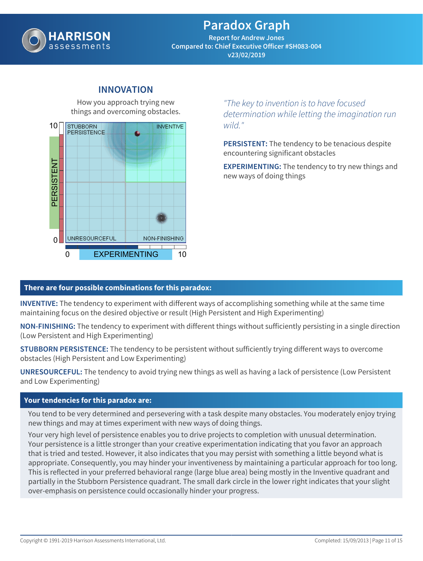

**Report for Andrew Jones Compared to: Chief Executive Officer #SH083-004 v23/02/2019**

### **INNOVATION**

How you approach trying new things and overcoming obstacles.



*"The key to invention is to have focused determination while letting the imagination run wild."*

**PERSISTENT:** The tendency to be tenacious despite encountering significant obstacles

**EXPERIMENTING:** The tendency to try new things and new ways of doing things

#### **There are four possible combinations for this paradox:**

**INVENTIVE:** The tendency to experiment with different ways of accomplishing something while at the same time maintaining focus on the desired objective or result (High Persistent and High Experimenting)

**NON-FINISHING:** The tendency to experiment with different things without sufficiently persisting in a single direction (Low Persistent and High Experimenting)

**STUBBORN PERSISTENCE:** The tendency to be persistent without sufficiently trying different ways to overcome obstacles (High Persistent and Low Experimenting)

**UNRESOURCEFUL:** The tendency to avoid trying new things as well as having a lack of persistence (Low Persistent and Low Experimenting)

#### **Your tendencies for this paradox are:**

You tend to be very determined and persevering with a task despite many obstacles. You moderately enjoy trying new things and may at times experiment with new ways of doing things.

Your very high level of persistence enables you to drive projects to completion with unusual determination. Your persistence is a little stronger than your creative experimentation indicating that you favor an approach that is tried and tested. However, it also indicates that you may persist with something a little beyond what is appropriate. Consequently, you may hinder your inventiveness by maintaining a particular approach for too long. This is reflected in your preferred behavioral range (large blue area) being mostly in the Inventive quadrant and partially in the Stubborn Persistence quadrant. The small dark circle in the lower right indicates that your slight over-emphasis on persistence could occasionally hinder your progress.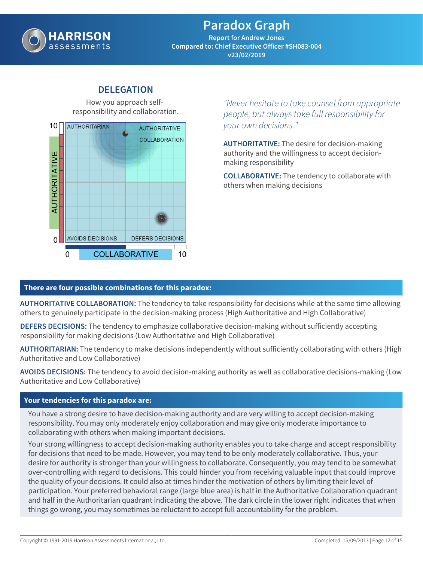

**Report for Andrew Jones Compared to: Chief Executive Officer #SH083-004 v23/02/2019**

### **DELEGATION**

How you approach selfresponsibility and collaboration.



*"Never hesitate to take counsel from appropriate people, but always take full responsibility for your own decisions."*

**AUTHORITATIVE:** The desire for decision-making authority and the willingness to accept decisionmaking responsibility

**COLLABORATIVE:** The tendency to collaborate with others when making decisions

#### **There are four possible combinations for this paradox:**

**AUTHORITATIVE COLLABORATION:** The tendency to take responsibility for decisions while at the same time allowing others to genuinely participate in the decision-making process (High Authoritative and High Collaborative)

**DEFERS DECISIONS:** The tendency to emphasize collaborative decision-making without sufficiently accepting responsibility for making decisions (Low Authoritative and High Collaborative)

**AUTHORITARIAN:** The tendency to make decisions independently without sufficiently collaborating with others (High Authoritative and Low Collaborative)

**AVOIDS DECISIONS:** The tendency to avoid decision-making authority as well as collaborative decisions-making (Low Authoritative and Low Collaborative)

#### **Your tendencies for this paradox are:**

You have a strong desire to have decision-making authority and are very willing to accept decision-making responsibility. You may only moderately enjoy collaboration and may give only moderate importance to collaborating with others when making important decisions.

Your strong willingness to accept decision-making authority enables you to take charge and accept responsibility for decisions that need to be made. However, you may tend to be only moderately collaborative. Thus, your desire for authority is stronger than your willingness to collaborate. Consequently, you may tend to be somewhat over-controlling with regard to decisions. This could hinder you from receiving valuable input that could improve the quality of your decisions. It could also at times hinder the motivation of others by limiting their level of participation. Your preferred behavioral range (large blue area) is half in the Authoritative Collaboration quadrant and half in the Authoritarian quadrant indicating the above. The dark circle in the lower right indicates that when things go wrong, you may sometimes be reluctant to accept full accountability for the problem.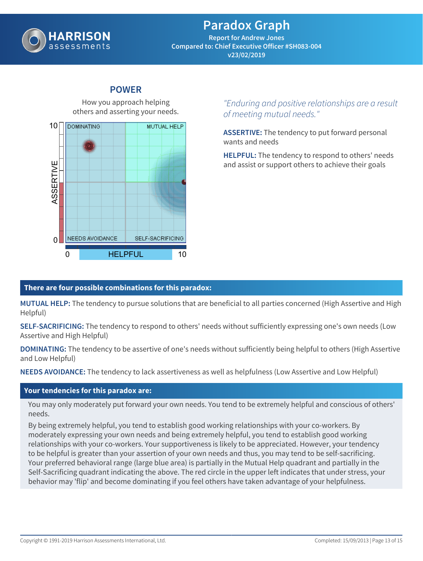

**Report for Andrew Jones Compared to: Chief Executive Officer #SH083-004 v23/02/2019**

# How you approach helping others and asserting your needs. 10DOMINATING MUTUAL HELP ASSERTIVE  $\Omega$ NEEDS AVOIDANCE **SELF-SACRIFICING** 0 HELPFUL 10

**POWER**

### *"Enduring and positive relationships are a result of meeting mutual needs."*

**ASSERTIVE:** The tendency to put forward personal wants and needs

**HELPFUL:** The tendency to respond to others' needs and assist or support others to achieve their goals

### **There are four possible combinations for this paradox:**

**MUTUAL HELP:** The tendency to pursue solutions that are beneficial to all parties concerned (High Assertive and High Helpful)

**SELF-SACRIFICING:** The tendency to respond to others' needs without sufficiently expressing one's own needs (Low Assertive and High Helpful)

**DOMINATING:** The tendency to be assertive of one's needs without sufficiently being helpful to others (High Assertive and Low Helpful)

**NEEDS AVOIDANCE:** The tendency to lack assertiveness as well as helpfulness (Low Assertive and Low Helpful)

#### **Your tendencies for this paradox are:**

You may only moderately put forward your own needs. You tend to be extremely helpful and conscious of others' needs.

By being extremely helpful, you tend to establish good working relationships with your co-workers. By moderately expressing your own needs and being extremely helpful, you tend to establish good working relationships with your co-workers. Your supportiveness is likely to be appreciated. However, your tendency to be helpful is greater than your assertion of your own needs and thus, you may tend to be self-sacrificing. Your preferred behavioral range (large blue area) is partially in the Mutual Help quadrant and partially in the Self-Sacrificing quadrant indicating the above. The red circle in the upper left indicates that under stress, your behavior may 'flip' and become dominating if you feel others have taken advantage of your helpfulness.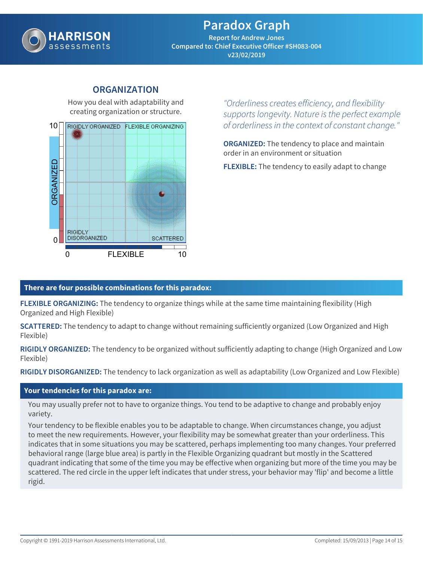

**Report for Andrew Jones Compared to: Chief Executive Officer #SH083-004 v23/02/2019**

### **ORGANIZATION**

How you deal with adaptability and creating organization or structure.



*"Orderliness creates efficiency, and flexibility supports longevity. Nature is the perfect example of orderliness in the context of constant change."*

**ORGANIZED:** The tendency to place and maintain order in an environment or situation

**FLEXIBLE:** The tendency to easily adapt to change

### **There are four possible combinations for this paradox:**

**FLEXIBLE ORGANIZING:** The tendency to organize things while at the same time maintaining flexibility (High Organized and High Flexible)

**SCATTERED:** The tendency to adapt to change without remaining sufficiently organized (Low Organized and High Flexible)

**RIGIDLY ORGANIZED:** The tendency to be organized without sufficiently adapting to change (High Organized and Low Flexible)

**RIGIDLY DISORGANIZED:** The tendency to lack organization as well as adaptability (Low Organized and Low Flexible)

#### **Your tendencies for this paradox are:**

You may usually prefer not to have to organize things. You tend to be adaptive to change and probably enjoy variety.

Your tendency to be flexible enables you to be adaptable to change. When circumstances change, you adjust to meet the new requirements. However, your flexibility may be somewhat greater than your orderliness. This indicates that in some situations you may be scattered, perhaps implementing too many changes. Your preferred behavioral range (large blue area) is partly in the Flexible Organizing quadrant but mostly in the Scattered quadrant indicating that some of the time you may be effective when organizing but more of the time you may be scattered. The red circle in the upper left indicates that under stress, your behavior may 'flip' and become a little rigid.